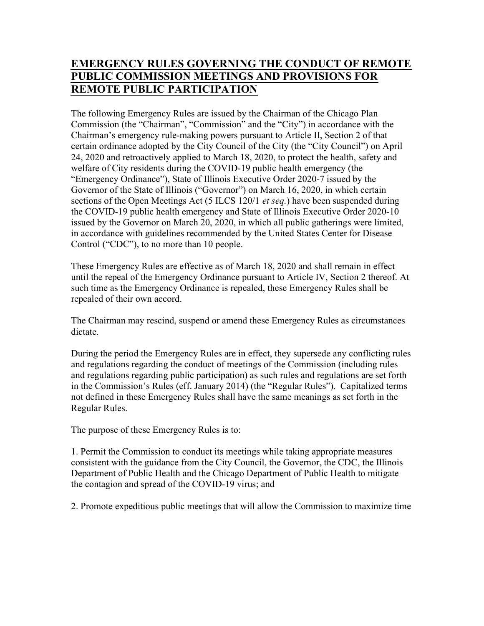# EMERGENCY RULES GOVERNING THE CONDUCT OF REMOTE PUBLIC COMMISSION MEETINGS AND PROVISIONS FOR REMOTE PUBLIC PARTICIPATION

The following Emergency Rules are issued by the Chairman of the Chicago Plan Commission (the "Chairman", "Commission" and the "City") in accordance with the Chairman's emergency rule-making powers pursuant to Article II, Section 2 of that certain ordinance adopted by the City Council of the City (the "City Council") on April 24, 2020 and retroactively applied to March 18, 2020, to protect the health, safety and welfare of City residents during the COVID-19 public health emergency (the "Emergency Ordinance"), State of Illinois Executive Order 2020-7 issued by the Governor of the State of Illinois ("Governor") on March 16, 2020, in which certain sections of the Open Meetings Act (5 ILCS 120/1 *et seq.*) have been suspended during the COVID-19 public health emergency and State of Illinois Executive Order 2020-10 issued by the Governor on March 20, 2020, in which all public gatherings were limited, in accordance with guidelines recommended by the United States Center for Disease Control ("CDC"), to no more than 10 people.

These Emergency Rules are effective as of March 18, 2020 and shall remain in effect until the repeal of the Emergency Ordinance pursuant to Article IV, Section 2 thereof. At such time as the Emergency Ordinance is repealed, these Emergency Rules shall be repealed of their own accord.

The Chairman may rescind, suspend or amend these Emergency Rules as circumstances dictate.

During the period the Emergency Rules are in effect, they supersede any conflicting rules and regulations regarding the conduct of meetings of the Commission (including rules and regulations regarding public participation) as such rules and regulations are set forth in the Commission's Rules (eff. January 2014) (the "Regular Rules"). Capitalized terms not defined in these Emergency Rules shall have the same meanings as set forth in the Regular Rules.

The purpose of these Emergency Rules is to:

1. Permit the Commission to conduct its meetings while taking appropriate measures consistent with the guidance from the City Council, the Governor, the CDC, the Illinois Department of Public Health and the Chicago Department of Public Health to mitigate the contagion and spread of the COVID-19 virus; and

2. Promote expeditious public meetings that will allow the Commission to maximize time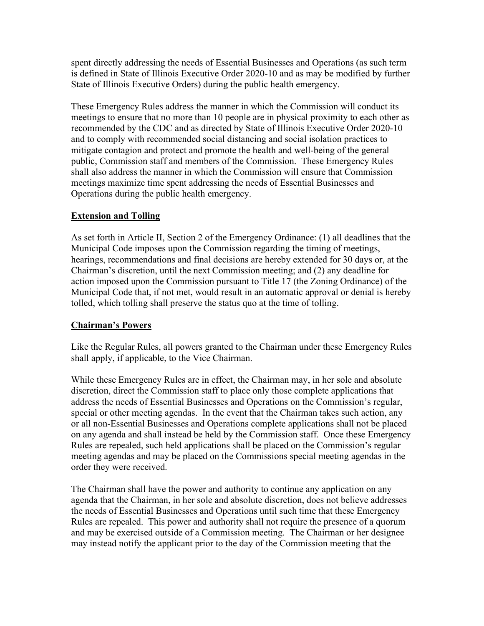spent directly addressing the needs of Essential Businesses and Operations (as such term is defined in State of Illinois Executive Order 2020-10 and as may be modified by further State of Illinois Executive Orders) during the public health emergency.

These Emergency Rules address the manner in which the Commission will conduct its meetings to ensure that no more than 10 people are in physical proximity to each other as recommended by the CDC and as directed by State of Illinois Executive Order 2020-10 and to comply with recommended social distancing and social isolation practices to mitigate contagion and protect and promote the health and well-being of the general public, Commission staff and members of the Commission. These Emergency Rules shall also address the manner in which the Commission will ensure that Commission meetings maximize time spent addressing the needs of Essential Businesses and Operations during the public health emergency.

## Extension and Tolling

As set forth in Article II, Section 2 of the Emergency Ordinance: (1) all deadlines that the Municipal Code imposes upon the Commission regarding the timing of meetings, hearings, recommendations and final decisions are hereby extended for 30 days or, at the Chairman's discretion, until the next Commission meeting; and (2) any deadline for action imposed upon the Commission pursuant to Title 17 (the Zoning Ordinance) of the Municipal Code that, if not met, would result in an automatic approval or denial is hereby tolled, which tolling shall preserve the status quo at the time of tolling.

## Chairman's Powers

Like the Regular Rules, all powers granted to the Chairman under these Emergency Rules shall apply, if applicable, to the Vice Chairman.

While these Emergency Rules are in effect, the Chairman may, in her sole and absolute discretion, direct the Commission staff to place only those complete applications that address the needs of Essential Businesses and Operations on the Commission's regular, special or other meeting agendas. In the event that the Chairman takes such action, any or all non-Essential Businesses and Operations complete applications shall not be placed on any agenda and shall instead be held by the Commission staff. Once these Emergency Rules are repealed, such held applications shall be placed on the Commission's regular meeting agendas and may be placed on the Commissions special meeting agendas in the order they were received.

The Chairman shall have the power and authority to continue any application on any agenda that the Chairman, in her sole and absolute discretion, does not believe addresses the needs of Essential Businesses and Operations until such time that these Emergency Rules are repealed. This power and authority shall not require the presence of a quorum and may be exercised outside of a Commission meeting. The Chairman or her designee may instead notify the applicant prior to the day of the Commission meeting that the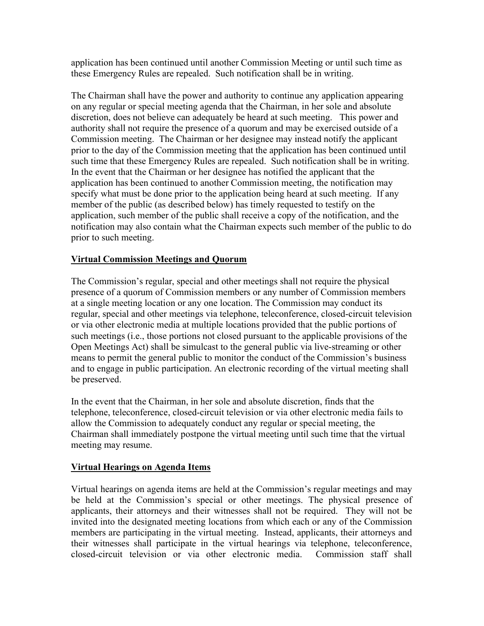application has been continued until another Commission Meeting or until such time as these Emergency Rules are repealed. Such notification shall be in writing.

The Chairman shall have the power and authority to continue any application appearing on any regular or special meeting agenda that the Chairman, in her sole and absolute discretion, does not believe can adequately be heard at such meeting. This power and authority shall not require the presence of a quorum and may be exercised outside of a Commission meeting. The Chairman or her designee may instead notify the applicant prior to the day of the Commission meeting that the application has been continued until such time that these Emergency Rules are repealed. Such notification shall be in writing. In the event that the Chairman or her designee has notified the applicant that the application has been continued to another Commission meeting, the notification may specify what must be done prior to the application being heard at such meeting. If any member of the public (as described below) has timely requested to testify on the application, such member of the public shall receive a copy of the notification, and the notification may also contain what the Chairman expects such member of the public to do prior to such meeting.

## Virtual Commission Meetings and Quorum

The Commission's regular, special and other meetings shall not require the physical presence of a quorum of Commission members or any number of Commission members at a single meeting location or any one location. The Commission may conduct its regular, special and other meetings via telephone, teleconference, closed-circuit television or via other electronic media at multiple locations provided that the public portions of such meetings (i.e., those portions not closed pursuant to the applicable provisions of the Open Meetings Act) shall be simulcast to the general public via live-streaming or other means to permit the general public to monitor the conduct of the Commission's business and to engage in public participation. An electronic recording of the virtual meeting shall be preserved.

In the event that the Chairman, in her sole and absolute discretion, finds that the telephone, teleconference, closed-circuit television or via other electronic media fails to allow the Commission to adequately conduct any regular or special meeting, the Chairman shall immediately postpone the virtual meeting until such time that the virtual meeting may resume.

## Virtual Hearings on Agenda Items

Virtual hearings on agenda items are held at the Commission's regular meetings and may be held at the Commission's special or other meetings. The physical presence of applicants, their attorneys and their witnesses shall not be required. They will not be invited into the designated meeting locations from which each or any of the Commission members are participating in the virtual meeting. Instead, applicants, their attorneys and their witnesses shall participate in the virtual hearings via telephone, teleconference, closed-circuit television or via other electronic media. Commission staff shall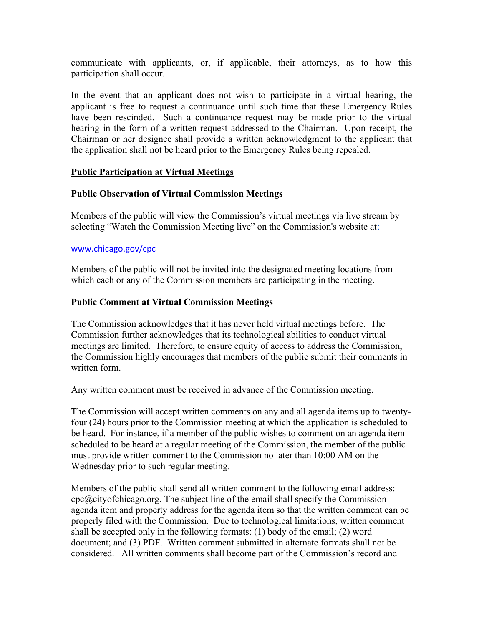communicate with applicants, or, if applicable, their attorneys, as to how this participation shall occur.

In the event that an applicant does not wish to participate in a virtual hearing, the applicant is free to request a continuance until such time that these Emergency Rules have been rescinded. Such a continuance request may be made prior to the virtual hearing in the form of a written request addressed to the Chairman. Upon receipt, the Chairman or her designee shall provide a written acknowledgment to the applicant that the application shall not be heard prior to the Emergency Rules being repealed.

### Public Participation at Virtual Meetings

### Public Observation of Virtual Commission Meetings

Members of the public will view the Commission's virtual meetings via live stream by selecting "Watch the Commission Meeting live" on the Commission's website at:

#### www.chicago.gov/cpc

Members of the public will not be invited into the designated meeting locations from which each or any of the Commission members are participating in the meeting.

### Public Comment at Virtual Commission Meetings

The Commission acknowledges that it has never held virtual meetings before. The Commission further acknowledges that its technological abilities to conduct virtual meetings are limited. Therefore, to ensure equity of access to address the Commission, the Commission highly encourages that members of the public submit their comments in written form.

Any written comment must be received in advance of the Commission meeting.

The Commission will accept written comments on any and all agenda items up to twentyfour (24) hours prior to the Commission meeting at which the application is scheduled to be heard. For instance, if a member of the public wishes to comment on an agenda item scheduled to be heard at a regular meeting of the Commission, the member of the public must provide written comment to the Commission no later than 10:00 AM on the Wednesday prior to such regular meeting.

Members of the public shall send all written comment to the following email address: cpc@cityofchicago.org. The subject line of the email shall specify the Commission agenda item and property address for the agenda item so that the written comment can be properly filed with the Commission. Due to technological limitations, written comment shall be accepted only in the following formats: (1) body of the email; (2) word document; and (3) PDF. Written comment submitted in alternate formats shall not be considered. All written comments shall become part of the Commission's record and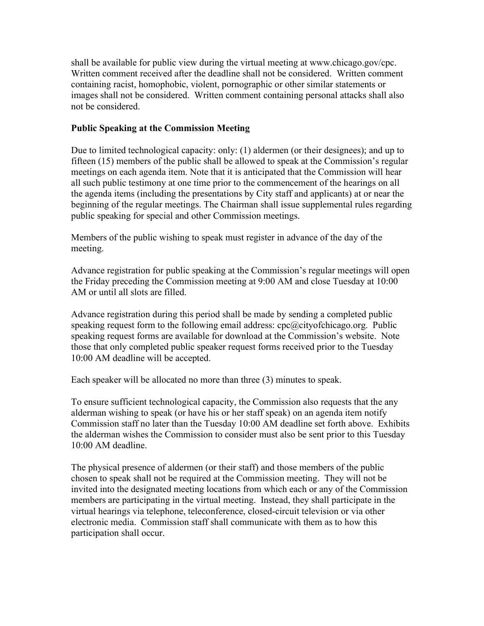shall be available for public view during the virtual meeting at www.chicago.gov/cpc. Written comment received after the deadline shall not be considered. Written comment containing racist, homophobic, violent, pornographic or other similar statements or images shall not be considered. Written comment containing personal attacks shall also not be considered.

### Public Speaking at the Commission Meeting

Due to limited technological capacity: only: (1) aldermen (or their designees); and up to fifteen (15) members of the public shall be allowed to speak at the Commission's regular meetings on each agenda item. Note that it is anticipated that the Commission will hear all such public testimony at one time prior to the commencement of the hearings on all the agenda items (including the presentations by City staff and applicants) at or near the beginning of the regular meetings. The Chairman shall issue supplemental rules regarding public speaking for special and other Commission meetings.

Members of the public wishing to speak must register in advance of the day of the meeting.

Advance registration for public speaking at the Commission's regular meetings will open the Friday preceding the Commission meeting at 9:00 AM and close Tuesday at 10:00 AM or until all slots are filled.

Advance registration during this period shall be made by sending a completed public speaking request form to the following email address:  $cpc@cityofchicaqo.org$ . Public speaking request forms are available for download at the Commission's website. Note those that only completed public speaker request forms received prior to the Tuesday 10:00 AM deadline will be accepted.

Each speaker will be allocated no more than three (3) minutes to speak.

To ensure sufficient technological capacity, the Commission also requests that the any alderman wishing to speak (or have his or her staff speak) on an agenda item notify Commission staff no later than the Tuesday 10:00 AM deadline set forth above. Exhibits the alderman wishes the Commission to consider must also be sent prior to this Tuesday 10:00 AM deadline.

The physical presence of aldermen (or their staff) and those members of the public chosen to speak shall not be required at the Commission meeting. They will not be invited into the designated meeting locations from which each or any of the Commission members are participating in the virtual meeting. Instead, they shall participate in the virtual hearings via telephone, teleconference, closed-circuit television or via other electronic media. Commission staff shall communicate with them as to how this participation shall occur.